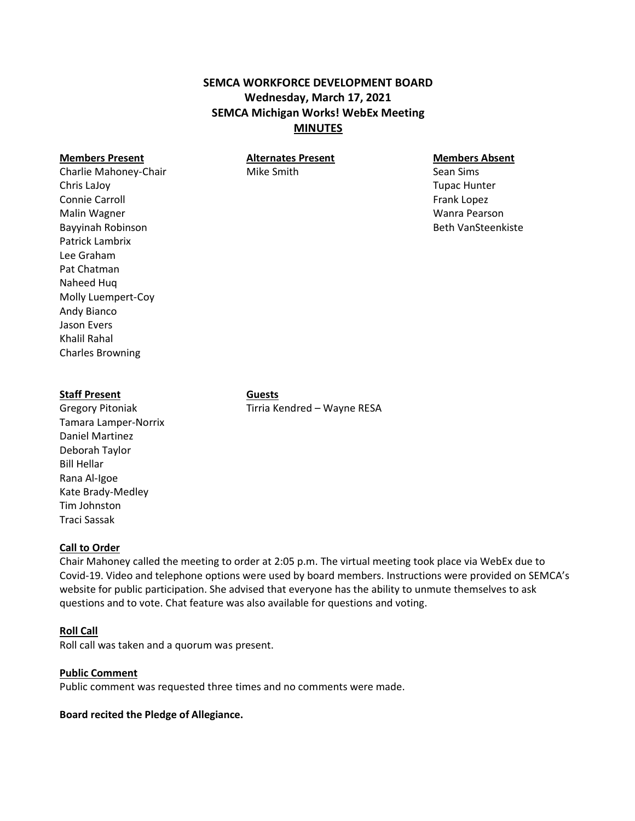# **SEMCA WORKFORCE DEVELOPMENT BOARD Wednesday, March 17, 2021 SEMCA Michigan Works! WebEx Meeting MINUTES**

#### **Members Present Alternates Present Members Absent**

Charlie Mahoney-Chair **Mike Smith** Mike Smith Sean Sims Chris LaJoy Tupac Hunter Connie Carroll **Frank Lopez Connie Carroll** Frank Lopez Malin Wagner Wanra Pearson Bayyinah Robinson Beth VanSteenkiste Patrick Lambrix Lee Graham Pat Chatman Naheed Huq Molly Luempert-Coy Andy Bianco Jason Evers Khalil Rahal Charles Browning

#### **Staff Present Guests**

Tamara Lamper-Norrix Daniel Martinez Deborah Taylor Bill Hellar Rana Al-Igoe Kate Brady-Medley Tim Johnston Traci Sassak

Gregory Pitoniak Tirria Kendred – Wayne RESA

### **Call to Order**

Chair Mahoney called the meeting to order at 2:05 p.m. The virtual meeting took place via WebEx due to Covid-19. Video and telephone options were used by board members. Instructions were provided on SEMCA's website for public participation. She advised that everyone has the ability to unmute themselves to ask questions and to vote. Chat feature was also available for questions and voting.

# **Roll Call**

Roll call was taken and a quorum was present.

### **Public Comment**

Public comment was requested three times and no comments were made.

### **Board recited the Pledge of Allegiance.**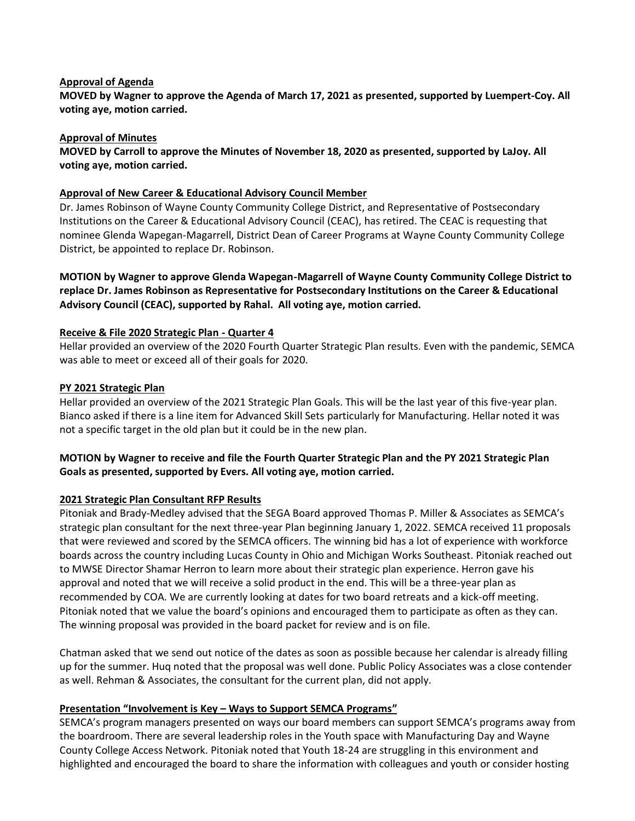#### **Approval of Agenda**

**MOVED by Wagner to approve the Agenda of March 17, 2021 as presented, supported by Luempert-Coy. All voting aye, motion carried.**

#### **Approval of Minutes**

**MOVED by Carroll to approve the Minutes of November 18, 2020 as presented, supported by LaJoy. All voting aye, motion carried.**

#### **Approval of New Career & Educational Advisory Council Member**

Dr. James Robinson of Wayne County Community College District, and Representative of Postsecondary Institutions on the Career & Educational Advisory Council (CEAC), has retired. The CEAC is requesting that nominee Glenda Wapegan-Magarrell, District Dean of Career Programs at Wayne County Community College District, be appointed to replace Dr. Robinson.

**MOTION by Wagner to approve Glenda Wapegan-Magarrell of Wayne County Community College District to replace Dr. James Robinson as Representative for Postsecondary Institutions on the Career & Educational Advisory Council (CEAC), supported by Rahal. All voting aye, motion carried.**

#### **Receive & File 2020 Strategic Plan - Quarter 4**

Hellar provided an overview of the 2020 Fourth Quarter Strategic Plan results. Even with the pandemic, SEMCA was able to meet or exceed all of their goals for 2020.

#### **PY 2021 Strategic Plan**

Hellar provided an overview of the 2021 Strategic Plan Goals. This will be the last year of this five-year plan. Bianco asked if there is a line item for Advanced Skill Sets particularly for Manufacturing. Hellar noted it was not a specific target in the old plan but it could be in the new plan.

## **MOTION by Wagner to receive and file the Fourth Quarter Strategic Plan and the PY 2021 Strategic Plan Goals as presented, supported by Evers. All voting aye, motion carried.**

### **2021 Strategic Plan Consultant RFP Results**

Pitoniak and Brady-Medley advised that the SEGA Board approved Thomas P. Miller & Associates as SEMCA's strategic plan consultant for the next three-year Plan beginning January 1, 2022. SEMCA received 11 proposals that were reviewed and scored by the SEMCA officers. The winning bid has a lot of experience with workforce boards across the country including Lucas County in Ohio and Michigan Works Southeast. Pitoniak reached out to MWSE Director Shamar Herron to learn more about their strategic plan experience. Herron gave his approval and noted that we will receive a solid product in the end. This will be a three-year plan as recommended by COA. We are currently looking at dates for two board retreats and a kick-off meeting. Pitoniak noted that we value the board's opinions and encouraged them to participate as often as they can. The winning proposal was provided in the board packet for review and is on file.

Chatman asked that we send out notice of the dates as soon as possible because her calendar is already filling up for the summer. Huq noted that the proposal was well done. Public Policy Associates was a close contender as well. Rehman & Associates, the consultant for the current plan, did not apply.

### **Presentation "Involvement is Key – Ways to Support SEMCA Programs"**

SEMCA's program managers presented on ways our board members can support SEMCA's programs away from the boardroom. There are several leadership roles in the Youth space with Manufacturing Day and Wayne County College Access Network. Pitoniak noted that Youth 18-24 are struggling in this environment and highlighted and encouraged the board to share the information with colleagues and youth or consider hosting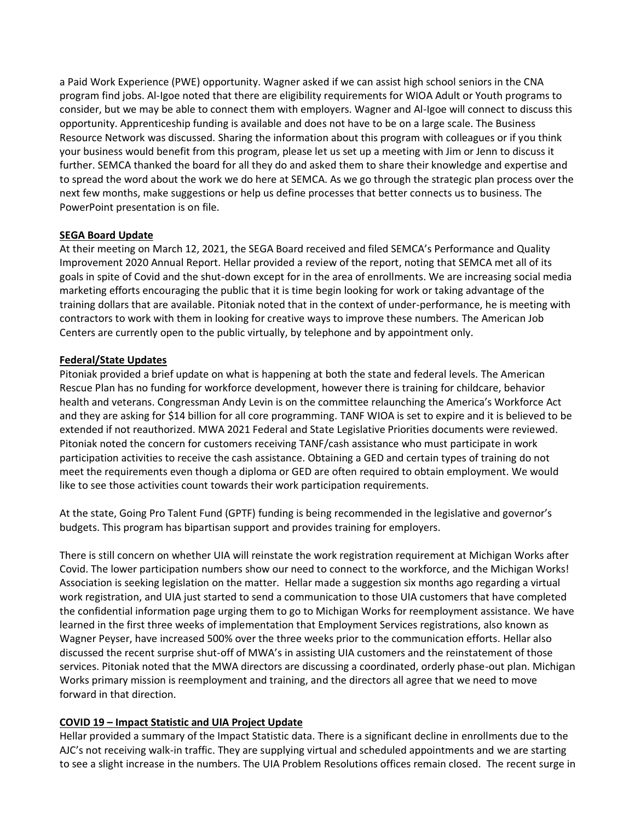a Paid Work Experience (PWE) opportunity. Wagner asked if we can assist high school seniors in the CNA program find jobs. Al-Igoe noted that there are eligibility requirements for WIOA Adult or Youth programs to consider, but we may be able to connect them with employers. Wagner and Al-Igoe will connect to discuss this opportunity. Apprenticeship funding is available and does not have to be on a large scale. The Business Resource Network was discussed. Sharing the information about this program with colleagues or if you think your business would benefit from this program, please let us set up a meeting with Jim or Jenn to discuss it further. SEMCA thanked the board for all they do and asked them to share their knowledge and expertise and to spread the word about the work we do here at SEMCA. As we go through the strategic plan process over the next few months, make suggestions or help us define processes that better connects us to business. The PowerPoint presentation is on file.

#### **SEGA Board Update**

At their meeting on March 12, 2021, the SEGA Board received and filed SEMCA's Performance and Quality Improvement 2020 Annual Report. Hellar provided a review of the report, noting that SEMCA met all of its goals in spite of Covid and the shut-down except for in the area of enrollments. We are increasing social media marketing efforts encouraging the public that it is time begin looking for work or taking advantage of the training dollars that are available. Pitoniak noted that in the context of under-performance, he is meeting with contractors to work with them in looking for creative ways to improve these numbers. The American Job Centers are currently open to the public virtually, by telephone and by appointment only.

#### **Federal/State Updates**

Pitoniak provided a brief update on what is happening at both the state and federal levels. The American Rescue Plan has no funding for workforce development, however there is training for childcare, behavior health and veterans. Congressman Andy Levin is on the committee relaunching the America's Workforce Act and they are asking for \$14 billion for all core programming. TANF WIOA is set to expire and it is believed to be extended if not reauthorized. MWA 2021 Federal and State Legislative Priorities documents were reviewed. Pitoniak noted the concern for customers receiving TANF/cash assistance who must participate in work participation activities to receive the cash assistance. Obtaining a GED and certain types of training do not meet the requirements even though a diploma or GED are often required to obtain employment. We would like to see those activities count towards their work participation requirements.

At the state, Going Pro Talent Fund (GPTF) funding is being recommended in the legislative and governor's budgets. This program has bipartisan support and provides training for employers.

There is still concern on whether UIA will reinstate the work registration requirement at Michigan Works after Covid. The lower participation numbers show our need to connect to the workforce, and the Michigan Works! Association is seeking legislation on the matter. Hellar made a suggestion six months ago regarding a virtual work registration, and UIA just started to send a communication to those UIA customers that have completed the confidential information page urging them to go to Michigan Works for reemployment assistance. We have learned in the first three weeks of implementation that Employment Services registrations, also known as Wagner Peyser, have increased 500% over the three weeks prior to the communication efforts. Hellar also discussed the recent surprise shut-off of MWA's in assisting UIA customers and the reinstatement of those services. Pitoniak noted that the MWA directors are discussing a coordinated, orderly phase-out plan. Michigan Works primary mission is reemployment and training, and the directors all agree that we need to move forward in that direction.

### **COVID 19 – Impact Statistic and UIA Project Update**

Hellar provided a summary of the Impact Statistic data. There is a significant decline in enrollments due to the AJC's not receiving walk-in traffic. They are supplying virtual and scheduled appointments and we are starting to see a slight increase in the numbers. The UIA Problem Resolutions offices remain closed. The recent surge in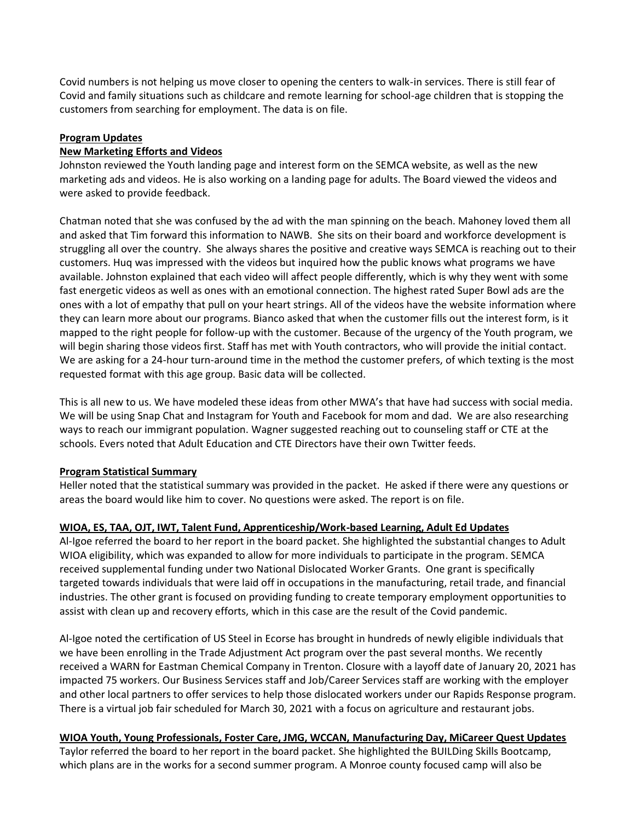Covid numbers is not helping us move closer to opening the centers to walk-in services. There is still fear of Covid and family situations such as childcare and remote learning for school-age children that is stopping the customers from searching for employment. The data is on file.

#### **Program Updates**

#### **New Marketing Efforts and Videos**

Johnston reviewed the Youth landing page and interest form on the SEMCA website, as well as the new marketing ads and videos. He is also working on a landing page for adults. The Board viewed the videos and were asked to provide feedback.

Chatman noted that she was confused by the ad with the man spinning on the beach. Mahoney loved them all and asked that Tim forward this information to NAWB. She sits on their board and workforce development is struggling all over the country. She always shares the positive and creative ways SEMCA is reaching out to their customers. Huq was impressed with the videos but inquired how the public knows what programs we have available. Johnston explained that each video will affect people differently, which is why they went with some fast energetic videos as well as ones with an emotional connection. The highest rated Super Bowl ads are the ones with a lot of empathy that pull on your heart strings. All of the videos have the website information where they can learn more about our programs. Bianco asked that when the customer fills out the interest form, is it mapped to the right people for follow-up with the customer. Because of the urgency of the Youth program, we will begin sharing those videos first. Staff has met with Youth contractors, who will provide the initial contact. We are asking for a 24-hour turn-around time in the method the customer prefers, of which texting is the most requested format with this age group. Basic data will be collected.

This is all new to us. We have modeled these ideas from other MWA's that have had success with social media. We will be using Snap Chat and Instagram for Youth and Facebook for mom and dad. We are also researching ways to reach our immigrant population. Wagner suggested reaching out to counseling staff or CTE at the schools. Evers noted that Adult Education and CTE Directors have their own Twitter feeds.

#### **Program Statistical Summary**

Heller noted that the statistical summary was provided in the packet. He asked if there were any questions or areas the board would like him to cover. No questions were asked. The report is on file.

### **WIOA, ES, TAA, OJT, IWT, Talent Fund, Apprenticeship/Work-based Learning, Adult Ed Updates**

Al-Igoe referred the board to her report in the board packet. She highlighted the substantial changes to Adult WIOA eligibility, which was expanded to allow for more individuals to participate in the program. SEMCA received supplemental funding under two National Dislocated Worker Grants. One grant is specifically targeted towards individuals that were laid off in occupations in the manufacturing, retail trade, and financial industries. The other grant is focused on providing funding to create temporary employment opportunities to assist with clean up and recovery efforts, which in this case are the result of the Covid pandemic.

Al-Igoe noted the certification of US Steel in Ecorse has brought in hundreds of newly eligible individuals that we have been enrolling in the Trade Adjustment Act program over the past several months. We recently received a WARN for Eastman Chemical Company in Trenton. Closure with a layoff date of January 20, 2021 has impacted 75 workers. Our Business Services staff and Job/Career Services staff are working with the employer and other local partners to offer services to help those dislocated workers under our Rapids Response program. There is a virtual job fair scheduled for March 30, 2021 with a focus on agriculture and restaurant jobs.

**WIOA Youth, Young Professionals, Foster Care, JMG, WCCAN, Manufacturing Day, MiCareer Quest Updates** Taylor referred the board to her report in the board packet. She highlighted the BUILDing Skills Bootcamp, which plans are in the works for a second summer program. A Monroe county focused camp will also be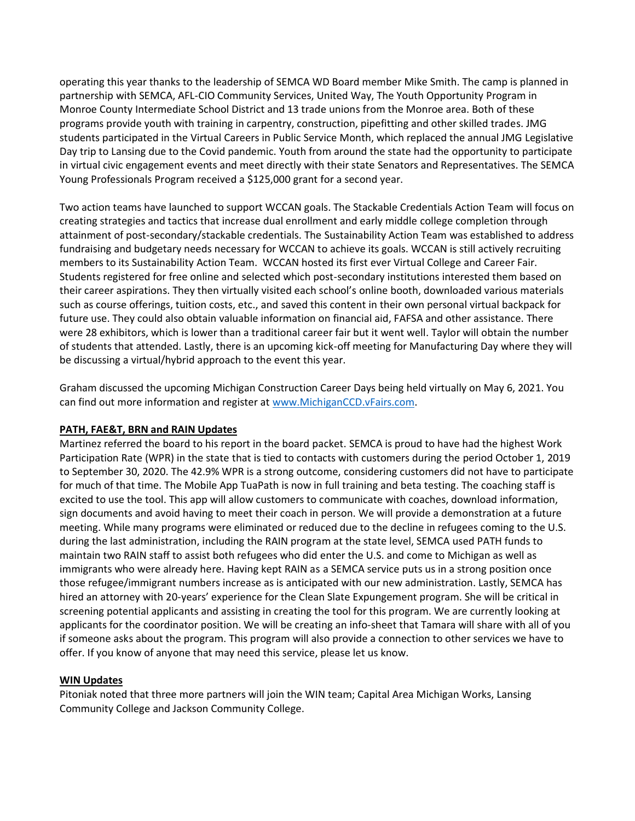operating this year thanks to the leadership of SEMCA WD Board member Mike Smith. The camp is planned in partnership with SEMCA, AFL-CIO Community Services, United Way, The Youth Opportunity Program in Monroe County Intermediate School District and 13 trade unions from the Monroe area. Both of these programs provide youth with training in carpentry, construction, pipefitting and other skilled trades. JMG students participated in the Virtual Careers in Public Service Month, which replaced the annual JMG Legislative Day trip to Lansing due to the Covid pandemic. Youth from around the state had the opportunity to participate in virtual civic engagement events and meet directly with their state Senators and Representatives. The SEMCA Young Professionals Program received a \$125,000 grant for a second year.

Two action teams have launched to support WCCAN goals. The Stackable Credentials Action Team will focus on creating strategies and tactics that increase dual enrollment and early middle college completion through attainment of post-secondary/stackable credentials. The Sustainability Action Team was established to address fundraising and budgetary needs necessary for WCCAN to achieve its goals. WCCAN is still actively recruiting members to its Sustainability Action Team. WCCAN hosted its first ever Virtual College and Career Fair. Students registered for free online and selected which post-secondary institutions interested them based on their career aspirations. They then virtually visited each school's online booth, downloaded various materials such as course offerings, tuition costs, etc., and saved this content in their own personal virtual backpack for future use. They could also obtain valuable information on financial aid, FAFSA and other assistance. There were 28 exhibitors, which is lower than a traditional career fair but it went well. Taylor will obtain the number of students that attended. Lastly, there is an upcoming kick-off meeting for Manufacturing Day where they will be discussing a virtual/hybrid approach to the event this year.

Graham discussed the upcoming Michigan Construction Career Days being held virtually on May 6, 2021. You can find out more information and register at [www.MichiganCCD.vFairs.com.](http://www.michiganccd.vfairs.com/)

### **PATH, FAE&T, BRN and RAIN Updates**

Martinez referred the board to his report in the board packet. SEMCA is proud to have had the highest Work Participation Rate (WPR) in the state that is tied to contacts with customers during the period October 1, 2019 to September 30, 2020. The 42.9% WPR is a strong outcome, considering customers did not have to participate for much of that time. The Mobile App TuaPath is now in full training and beta testing. The coaching staff is excited to use the tool. This app will allow customers to communicate with coaches, download information, sign documents and avoid having to meet their coach in person. We will provide a demonstration at a future meeting. While many programs were eliminated or reduced due to the decline in refugees coming to the U.S. during the last administration, including the RAIN program at the state level, SEMCA used PATH funds to maintain two RAIN staff to assist both refugees who did enter the U.S. and come to Michigan as well as immigrants who were already here. Having kept RAIN as a SEMCA service puts us in a strong position once those refugee/immigrant numbers increase as is anticipated with our new administration. Lastly, SEMCA has hired an attorney with 20-years' experience for the Clean Slate Expungement program. She will be critical in screening potential applicants and assisting in creating the tool for this program. We are currently looking at applicants for the coordinator position. We will be creating an info-sheet that Tamara will share with all of you if someone asks about the program. This program will also provide a connection to other services we have to offer. If you know of anyone that may need this service, please let us know.

### **WIN Updates**

Pitoniak noted that three more partners will join the WIN team; Capital Area Michigan Works, Lansing Community College and Jackson Community College.